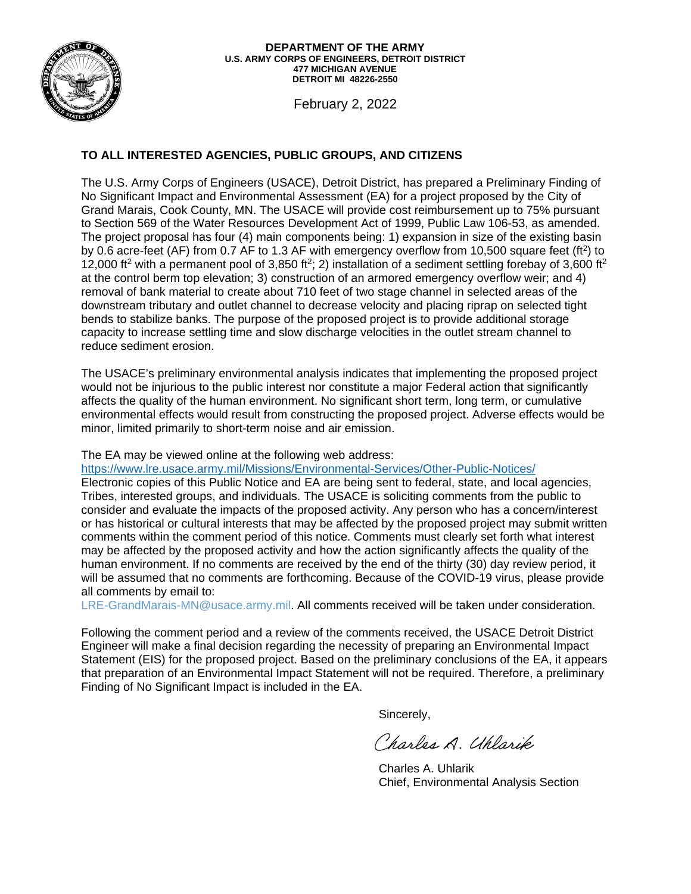

#### **477 MICHIGAN AVENUE DEPARTMENT OF THE ARMY U.S. ARMY CORPS OF ENGINEERS, DETROIT DISTRICT DETROIT MI 48226-2550**

February 2, 2022

#### **TO ALL INTERESTED AGENCIES, PUBLIC GROUPS, AND CITIZENS**

reduce sediment erosion. The U.S. Army Corps of Engineers (USACE), Detroit District, has prepared a Preliminary Finding of No Significant Impact and Environmental Assessment (EA) for a project proposed by the City of Grand Marais, Cook County, MN. The USACE will provide cost reimbursement up to 75% pursuant to Section 569 of the Water Resources Development Act of 1999, Public Law 106-53, as amended. The project proposal has four (4) main components being: 1) expansion in size of the existing basin by 0.6 acre-feet (AF) from 0.7 AF to 1.3 AF with emergency overflow from 10,500 square feet (ft<sup>2</sup>) to 12,000 ft<sup>2</sup> with a permanent pool of 3,850 ft<sup>2</sup>; 2) installation of a sediment settling forebay of 3,600 ft<sup>2</sup> at the control berm top elevation; 3) construction of an armored emergency overflow weir; and 4) removal of bank material to create about 710 feet of two stage channel in selected areas of the downstream tributary and outlet channel to decrease velocity and placing riprap on selected tight bends to stabilize banks. The purpose of the proposed project is to provide additional storage capacity to increase settling time and slow discharge velocities in the outlet stream channel to

The USACE's preliminary environmental analysis indicates that implementing the proposed project would not be injurious to the public interest nor constitute a major Federal action that significantly affects the quality of the human environment. No significant short term, long term, or cumulative environmental effects would result from constructing the proposed project. Adverse effects would be minor, limited primarily to short-term noise and air emission.

The EA may be viewed online at the following web address:

https://www.lre.usace.army.mil/Missions/Environmental-Services/Other-Public-Notices/

Electronic copies of this Public Notice and EA are being sent to federal, state, and local agencies, Tribes, interested groups, and individuals. The USACE is soliciting comments from the public to consider and evaluate the impacts of the proposed activity. Any person who has a concern/interest or has historical or cultural interests that may be affected by the proposed project may submit written comments within the comment period of this notice. Comments must clearly set forth what interest may be affected by the proposed activity and how the action significantly affects the quality of the human environment. If no comments are received by the end of the thirty (30) day review period, it will be assumed that no comments are forthcoming. Because of the COVID-19 virus, please provide all comments by email to:

LRE-GrandMarais-MN@usace.army.mil. All comments received will be taken under consideration.

Following the comment period and a review of the comments received, the USACE Detroit District Engineer will make a final decision regarding the necessity of preparing an Environmental Impact Statement (EIS) for the proposed project. Based on the preliminary conclusions of the EA, it appears that preparation of an Environmental Impact Statement will not be required. Therefore, a preliminary Finding of No Significant Impact is included in the EA.

Sincerely,

Charles A. Uhlarik

 Charles A. Uhlarik Chief, Environmental Analysis Section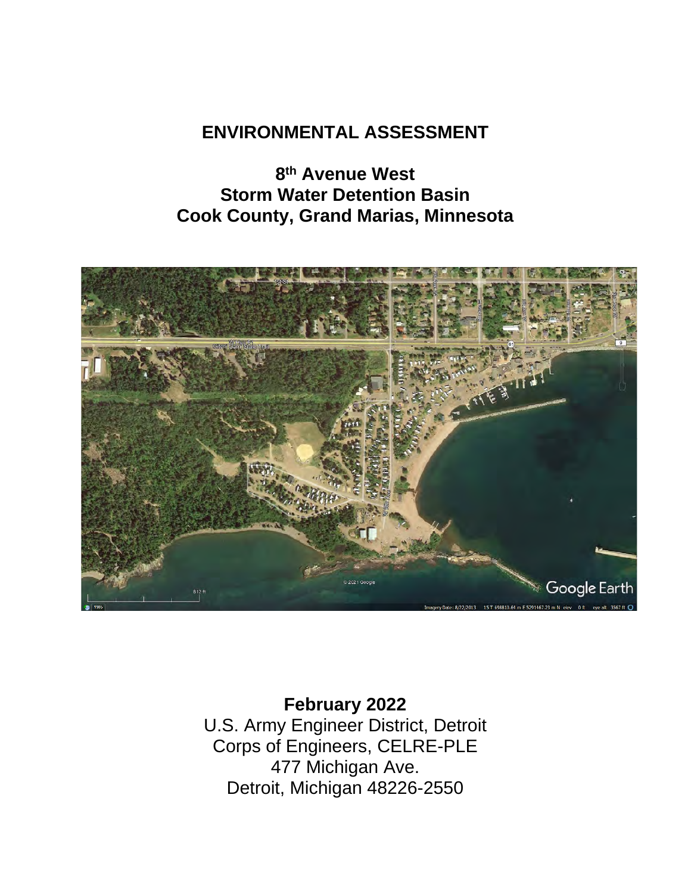## **ENVIRONMENTAL ASSESSMENT**

**8th Avenue West Storm Water Detention Basin Cook County, Grand Marias, Minnesota** 



**February 2022** U.S. Army Engineer District, Detroit Corps of Engineers, CELRE-PLE 477 Michigan Ave. Detroit, Michigan 48226-2550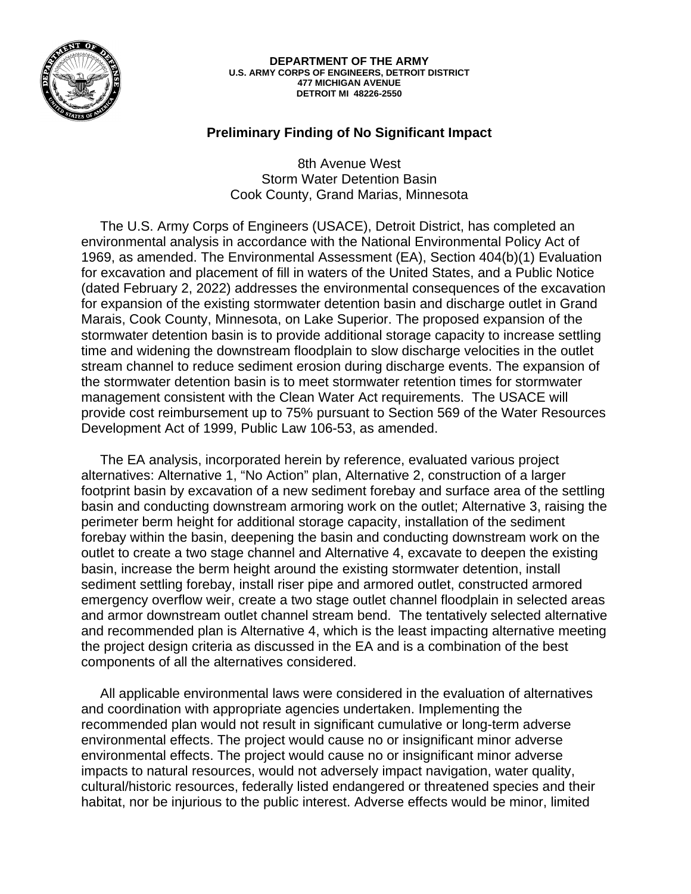

#### **477 MICHIGAN AVENUE DEPARTMENT OF THE ARMY U.S. ARMY CORPS OF ENGINEERS, DETROIT DISTRICT DETROIT MI 48226-2550**

#### **Preliminary Finding of No Significant Impact**

8th Avenue West Storm Water Detention Basin Cook County, Grand Marias, Minnesota

 The U.S. Army Corps of Engineers (USACE), Detroit District, has completed an environmental analysis in accordance with the National Environmental Policy Act of 1969, as amended. The Environmental Assessment (EA), Section 404(b)(1) Evaluation for excavation and placement of fill in waters of the United States, and a Public Notice (dated February 2, 2022) addresses the environmental consequences of the excavation for expansion of the existing stormwater detention basin and discharge outlet in Grand Marais, Cook County, Minnesota, on Lake Superior. The proposed expansion of the stormwater detention basin is to provide additional storage capacity to increase settling time and widening the downstream floodplain to slow discharge velocities in the outlet stream channel to reduce sediment erosion during discharge events. The expansion of the stormwater detention basin is to meet stormwater retention times for stormwater management consistent with the Clean Water Act requirements. The USACE will provide cost reimbursement up to 75% pursuant to Section 569 of the Water Resources Development Act of 1999, Public Law 106-53, as amended.

 The EA analysis, incorporated herein by reference, evaluated various project alternatives: Alternative 1, "No Action" plan, Alternative 2, construction of a larger footprint basin by excavation of a new sediment forebay and surface area of the settling basin and conducting downstream armoring work on the outlet; Alternative 3, raising the perimeter berm height for additional storage capacity, installation of the sediment forebay within the basin, deepening the basin and conducting downstream work on the outlet to create a two stage channel and Alternative 4, excavate to deepen the existing basin, increase the berm height around the existing stormwater detention, install sediment settling forebay, install riser pipe and armored outlet, constructed armored emergency overflow weir, create a two stage outlet channel floodplain in selected areas and armor downstream outlet channel stream bend. The tentatively selected alternative and recommended plan is Alternative 4, which is the least impacting alternative meeting the project design criteria as discussed in the EA and is a combination of the best components of all the alternatives considered.

 All applicable environmental laws were considered in the evaluation of alternatives and coordination with appropriate agencies undertaken. Implementing the recommended plan would not result in significant cumulative or long-term adverse environmental effects. The project would cause no or insignificant minor adverse environmental effects. The project would cause no or insignificant minor adverse impacts to natural resources, would not adversely impact navigation, water quality, cultural/historic resources, federally listed endangered or threatened species and their habitat, nor be injurious to the public interest. Adverse effects would be minor, limited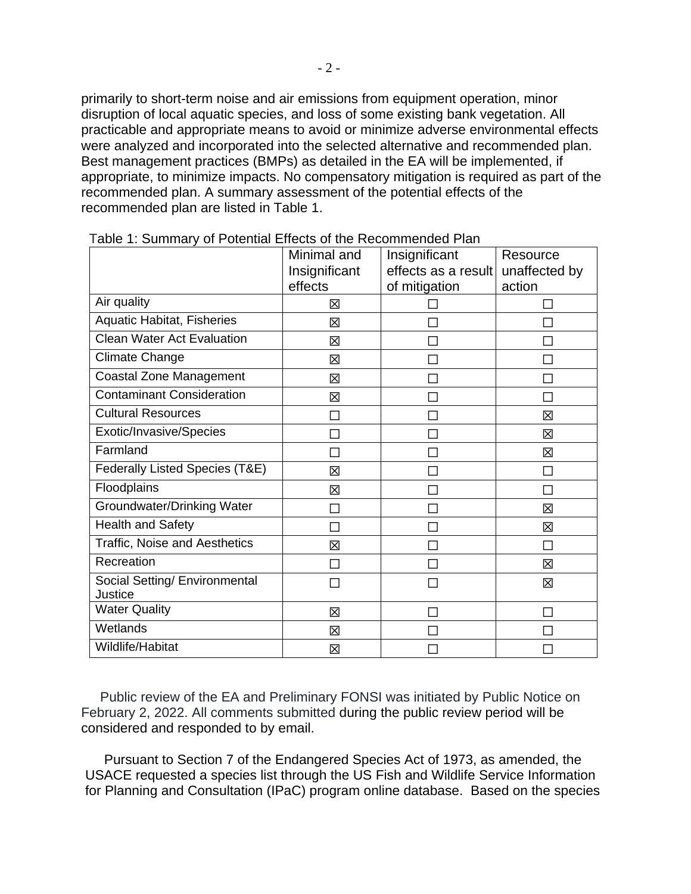primarily to short-term noise and air emissions from equipment operation, minor disruption of local aquatic species, and loss of some existing bank vegetation. All practicable and appropriate means to avoid or minimize adverse environmental effects were analyzed and incorporated into the selected alternative and recommended plan. Best management practices (BMPs) as detailed in the EA will be implemented, if appropriate, to minimize impacts. No compensatory mitigation is required as part of the recommended plan. A summary assessment of the potential effects of the recommended plan are listed in Table 1.

|                                          | Minimal and<br>Insignificant<br>effects | Insignificant<br>effects as a result<br>of mitigation | Resource<br>unaffected by<br>action |
|------------------------------------------|-----------------------------------------|-------------------------------------------------------|-------------------------------------|
| Air quality                              | 冈                                       |                                                       |                                     |
| <b>Aquatic Habitat, Fisheries</b>        | 区                                       |                                                       |                                     |
| <b>Clean Water Act Evaluation</b>        | 区                                       |                                                       |                                     |
| <b>Climate Change</b>                    | 図                                       |                                                       |                                     |
| <b>Coastal Zone Management</b>           | 区                                       |                                                       |                                     |
| <b>Contaminant Consideration</b>         | 区                                       |                                                       |                                     |
| <b>Cultural Resources</b>                | J.                                      |                                                       | 冈                                   |
| Exotic/Invasive/Species                  |                                         |                                                       | 区                                   |
| Farmland                                 |                                         |                                                       | 区                                   |
| Federally Listed Species (T&E)           | 冈                                       |                                                       |                                     |
| Floodplains                              | 区                                       | П                                                     |                                     |
| Groundwater/Drinking Water               |                                         |                                                       | 区                                   |
| <b>Health and Safety</b>                 |                                         |                                                       | 冈                                   |
| Traffic, Noise and Aesthetics            | 冈                                       |                                                       |                                     |
| Recreation                               |                                         |                                                       | 区                                   |
| Social Setting/ Environmental<br>Justice |                                         |                                                       | 冈                                   |
| <b>Water Quality</b>                     | 区                                       | H                                                     |                                     |
| Wetlands                                 | 区                                       |                                                       |                                     |
| Wildlife/Habitat                         | 区                                       |                                                       |                                     |

Table 1: Summary of Potential Effects of the Recommended Plan

 considered and responded to by email. Public review of the EA and Preliminary FONSI was initiated by Public Notice on February 2, 2022. All comments submitted during the public review period will be

 Pursuant to Section 7 of the Endangered Species Act of 1973, as amended, the USACE requested a species list through the US Fish and Wildlife Service Information for Planning and Consultation (IPaC) program online database. Based on the species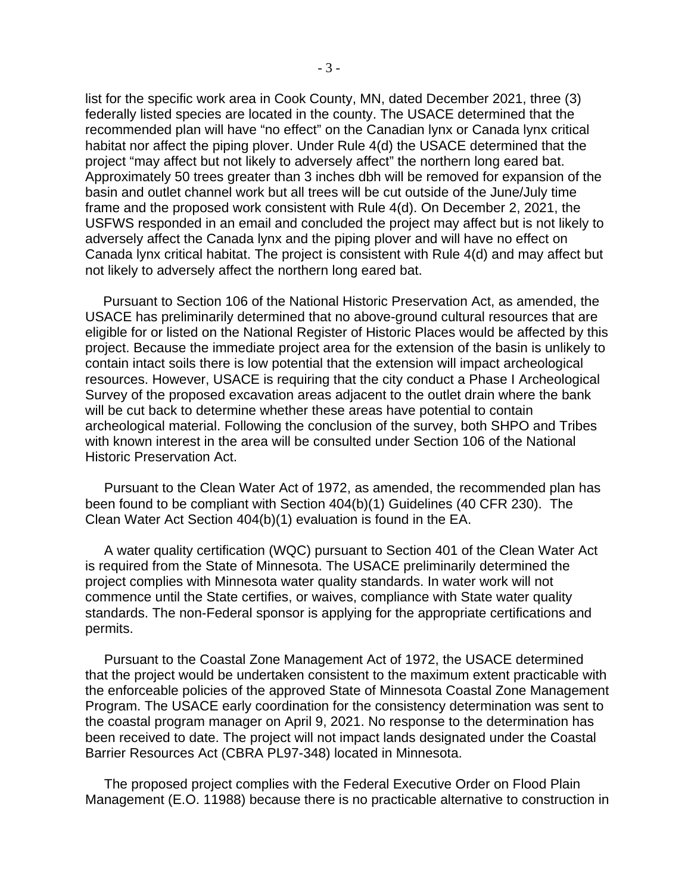list for the specific work area in Cook County, MN, dated December 2021, three (3) federally listed species are located in the county. The USACE determined that the recommended plan will have "no effect" on the Canadian lynx or Canada lynx critical habitat nor affect the piping plover. Under Rule 4(d) the USACE determined that the project "may affect but not likely to adversely affect" the northern long eared bat. Approximately 50 trees greater than 3 inches dbh will be removed for expansion of the basin and outlet channel work but all trees will be cut outside of the June/July time frame and the proposed work consistent with Rule 4(d). On December 2, 2021, the USFWS responded in an email and concluded the project may affect but is not likely to adversely affect the Canada lynx and the piping plover and will have no effect on Canada lynx critical habitat. The project is consistent with Rule 4(d) and may affect but not likely to adversely affect the northern long eared bat.

Pursuant to Section 106 of the National Historic Preservation Act, as amended, the USACE has preliminarily determined that no above-ground cultural resources that are eligible for or listed on the National Register of Historic Places would be affected by this project. Because the immediate project area for the extension of the basin is unlikely to contain intact soils there is low potential that the extension will impact archeological resources. However, USACE is requiring that the city conduct a Phase I Archeological Survey of the proposed excavation areas adjacent to the outlet drain where the bank will be cut back to determine whether these areas have potential to contain archeological material. Following the conclusion of the survey, both SHPO and Tribes with known interest in the area will be consulted under Section 106 of the National Historic Preservation Act.

 Pursuant to the Clean Water Act of 1972, as amended, the recommended plan has been found to be compliant with Section 404(b)(1) Guidelines (40 CFR 230). The Clean Water Act Section 404(b)(1) evaluation is found in the EA.

 A water quality certification (WQC) pursuant to Section 401 of the Clean Water Act is required from the State of Minnesota. The USACE preliminarily determined the project complies with Minnesota water quality standards. In water work will not commence until the State certifies, or waives, compliance with State water quality standards. The non-Federal sponsor is applying for the appropriate certifications and permits.

 Pursuant to the Coastal Zone Management Act of 1972, the USACE determined that the project would be undertaken consistent to the maximum extent practicable with the enforceable policies of the approved State of Minnesota Coastal Zone Management Program. The USACE early coordination for the consistency determination was sent to the coastal program manager on April 9, 2021. No response to the determination has been received to date. The project will not impact lands designated under the Coastal Barrier Resources Act (CBRA PL97-348) located in Minnesota.

 The proposed project complies with the Federal Executive Order on Flood Plain Management (E.O. 11988) because there is no practicable alternative to construction in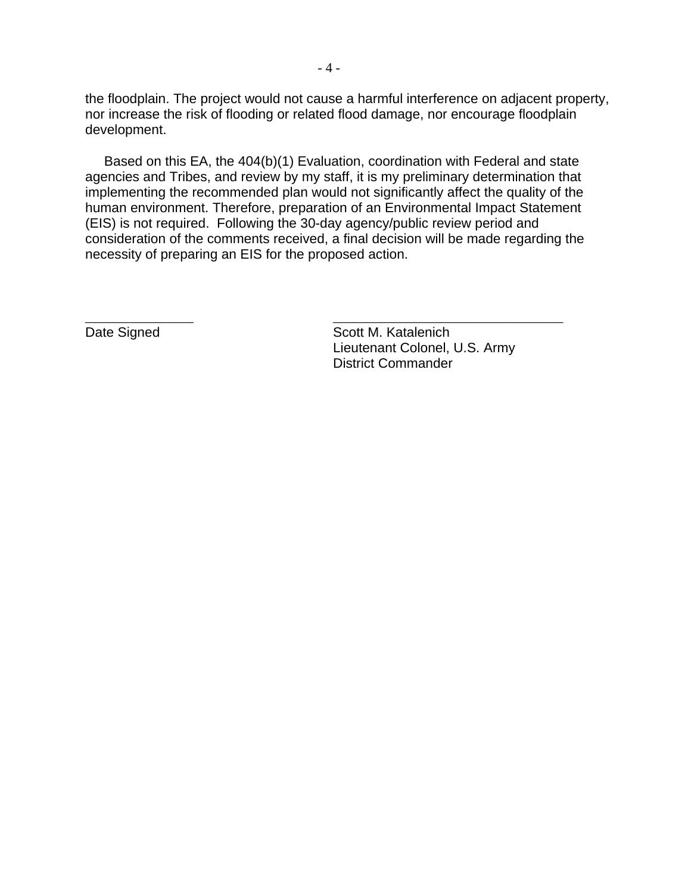the floodplain. The project would not cause a harmful interference on adjacent property, nor increase the risk of flooding or related flood damage, nor encourage floodplain development.

 Based on this EA, the 404(b)(1) Evaluation, coordination with Federal and state agencies and Tribes, and review by my staff, it is my preliminary determination that implementing the recommended plan would not significantly affect the quality of the human environment. Therefore, preparation of an Environmental Impact Statement (EIS) is not required. Following the 30-day agency/public review period and consideration of the comments received, a final decision will be made regarding the necessity of preparing an EIS for the proposed action.

\_\_\_\_\_\_\_\_\_\_\_\_\_\_\_\_ \_\_\_\_\_\_\_\_\_\_\_\_\_\_\_\_\_\_\_\_\_\_\_\_\_\_\_\_\_\_\_\_\_\_

Date Signed

Scott M. Katalenich Lieutenant Colonel, U.S. Army District Commander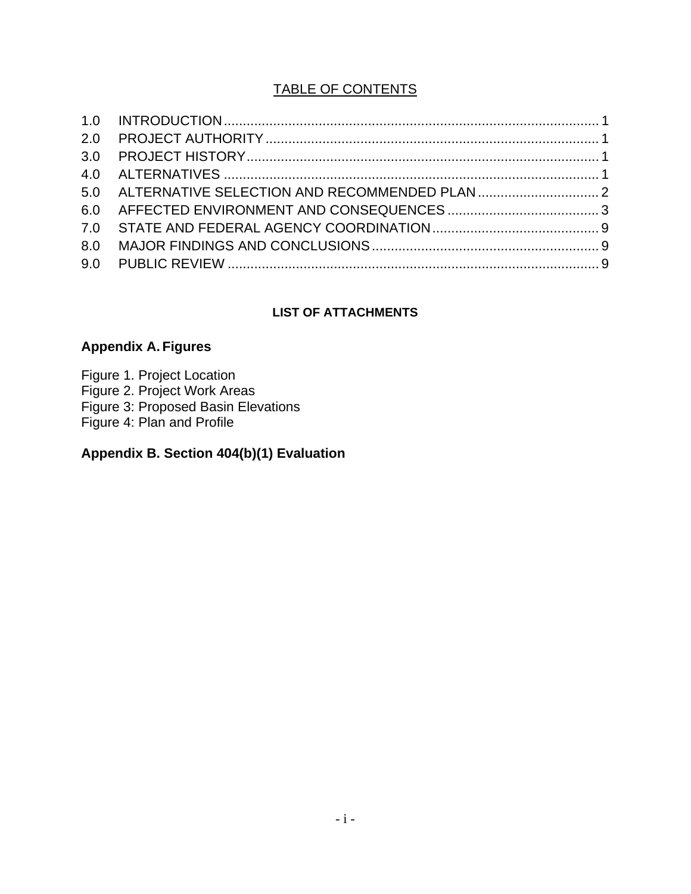### TABLE OF CONTENTS

|     | 5.0 ALTERNATIVE SELECTION AND RECOMMENDED PLAN |  |
|-----|------------------------------------------------|--|
|     |                                                |  |
|     |                                                |  |
| 8.0 |                                                |  |
|     |                                                |  |

#### **LIST OF ATTACHMENTS**

#### **Appendix A. Figures**

Figure 1. Project Location Figure 2. Project Work Areas Figure 3: Proposed Basin Elevations Figure 4: Plan and Profile

### **Appendix B. Section 404(b)(1) Evaluation**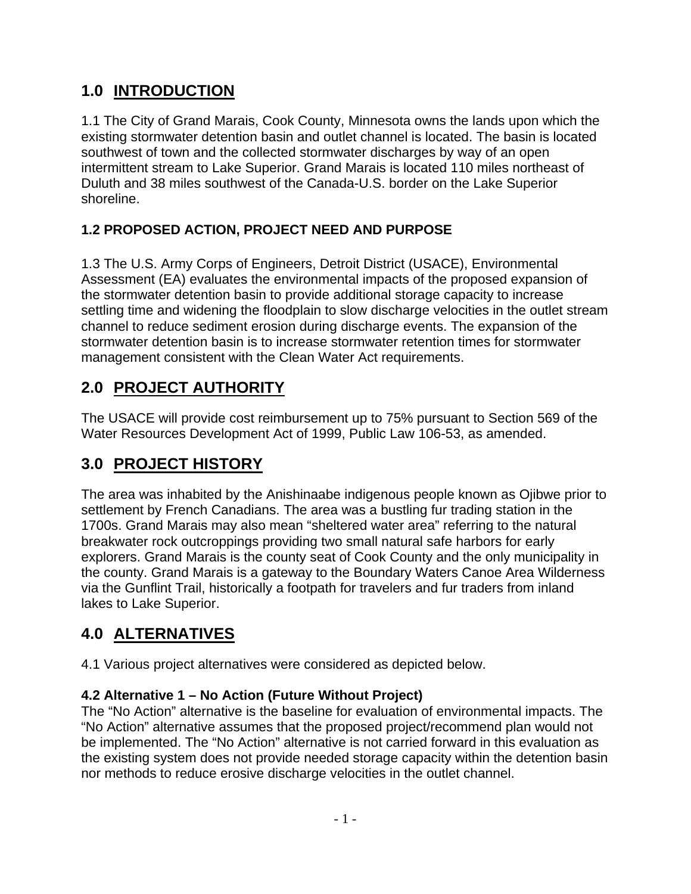# **1.0 INTRODUCTION**

1.1 The City of Grand Marais, Cook County, Minnesota owns the lands upon which the existing stormwater detention basin and outlet channel is located. The basin is located southwest of town and the collected stormwater discharges by way of an open intermittent stream to Lake Superior. Grand Marais is located 110 miles northeast of Duluth and 38 miles southwest of the Canada-U.S. border on the Lake Superior shoreline.

### **1.2 PROPOSED ACTION, PROJECT NEED AND PURPOSE**

1.3 The U.S. Army Corps of Engineers, Detroit District (USACE), Environmental Assessment (EA) evaluates the environmental impacts of the proposed expansion of the stormwater detention basin to provide additional storage capacity to increase settling time and widening the floodplain to slow discharge velocities in the outlet stream channel to reduce sediment erosion during discharge events. The expansion of the stormwater detention basin is to increase stormwater retention times for stormwater management consistent with the Clean Water Act requirements.

# **2.0 PROJECT AUTHORITY**

The USACE will provide cost reimbursement up to 75% pursuant to Section 569 of the Water Resources Development Act of 1999, Public Law 106-53, as amended.

# **3.0 PROJECT HISTORY**

The area was inhabited by the Anishinaabe indigenous people known as Ojibwe prior to settlement by French Canadians. The area was a bustling fur trading station in the 1700s. Grand Marais may also mean "sheltered water area" referring to the natural breakwater rock outcroppings providing two small natural safe harbors for early explorers. Grand Marais is the county seat of Cook County and the only municipality in the county. Grand Marais is a gateway to the Boundary Waters Canoe Area Wilderness via the Gunflint Trail, historically a footpath for travelers and fur traders from inland lakes to Lake Superior.

# **4.0 ALTERNATIVES**

4.1 Various project alternatives were considered as depicted below.

### **4.2 Alternative 1 – No Action (Future Without Project)**

The "No Action" alternative is the baseline for evaluation of environmental impacts. The "No Action" alternative assumes that the proposed project/recommend plan would not be implemented. The "No Action" alternative is not carried forward in this evaluation as the existing system does not provide needed storage capacity within the detention basin nor methods to reduce erosive discharge velocities in the outlet channel.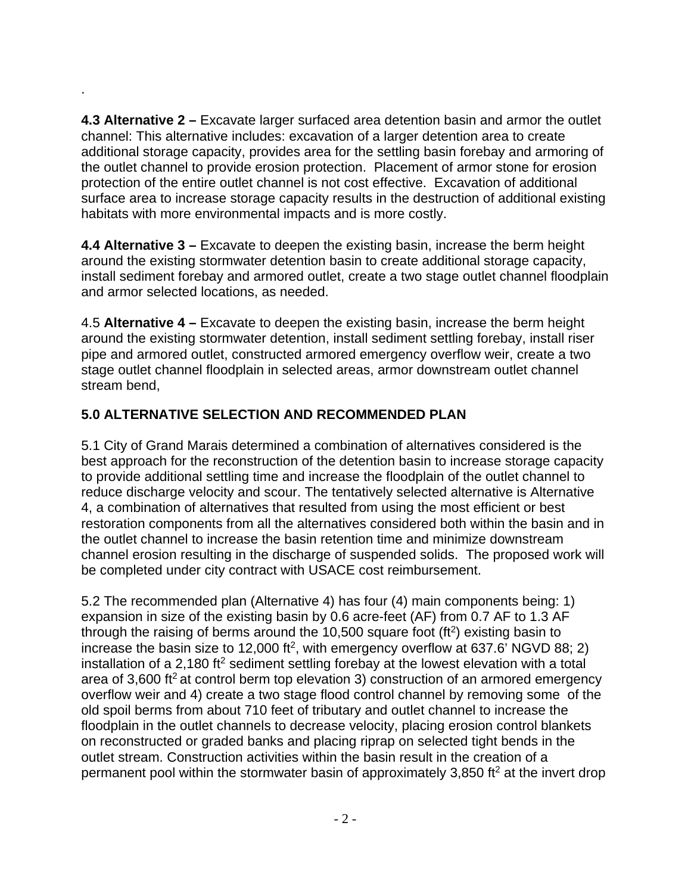**4.3 Alternative 2 –** Excavate larger surfaced area detention basin and armor the outlet channel: This alternative includes: excavation of a larger detention area to create additional storage capacity, provides area for the settling basin forebay and armoring of the outlet channel to provide erosion protection. Placement of armor stone for erosion protection of the entire outlet channel is not cost effective. Excavation of additional surface area to increase storage capacity results in the destruction of additional existing habitats with more environmental impacts and is more costly.

**4.4 Alternative 3 –** Excavate to deepen the existing basin, increase the berm height around the existing stormwater detention basin to create additional storage capacity, install sediment forebay and armored outlet, create a two stage outlet channel floodplain and armor selected locations, as needed.

4.5 **Alternative 4 –** Excavate to deepen the existing basin, increase the berm height around the existing stormwater detention, install sediment settling forebay, install riser pipe and armored outlet, constructed armored emergency overflow weir, create a two stage outlet channel floodplain in selected areas, armor downstream outlet channel stream bend,

### **5.0 ALTERNATIVE SELECTION AND RECOMMENDED PLAN**

.

5.1 City of Grand Marais determined a combination of alternatives considered is the best approach for the reconstruction of the detention basin to increase storage capacity to provide additional settling time and increase the floodplain of the outlet channel to reduce discharge velocity and scour. The tentatively selected alternative is Alternative 4, a combination of alternatives that resulted from using the most efficient or best restoration components from all the alternatives considered both within the basin and in the outlet channel to increase the basin retention time and minimize downstream channel erosion resulting in the discharge of suspended solids. The proposed work will be completed under city contract with USACE cost reimbursement.

5.2 The recommended plan (Alternative 4) has four (4) main components being: 1) expansion in size of the existing basin by 0.6 acre-feet (AF) from 0.7 AF to 1.3 AF through the raising of berms around the 10,500 square foot ( $ft<sup>2</sup>$ ) existing basin to increase the basin size to 12,000 ft<sup>2</sup>, with emergency overflow at 637.6' NGVD 88; 2) installation of a 2,180 ft<sup>2</sup> sediment settling forebay at the lowest elevation with a total area of 3,600 ft<sup>2</sup> at control berm top elevation 3) construction of an armored emergency overflow weir and 4) create a two stage flood control channel by removing some of the old spoil berms from about 710 feet of tributary and outlet channel to increase the floodplain in the outlet channels to decrease velocity, placing erosion control blankets on reconstructed or graded banks and placing riprap on selected tight bends in the outlet stream. Construction activities within the basin result in the creation of a permanent pool within the stormwater basin of approximately 3,850 ft<sup>2</sup> at the invert drop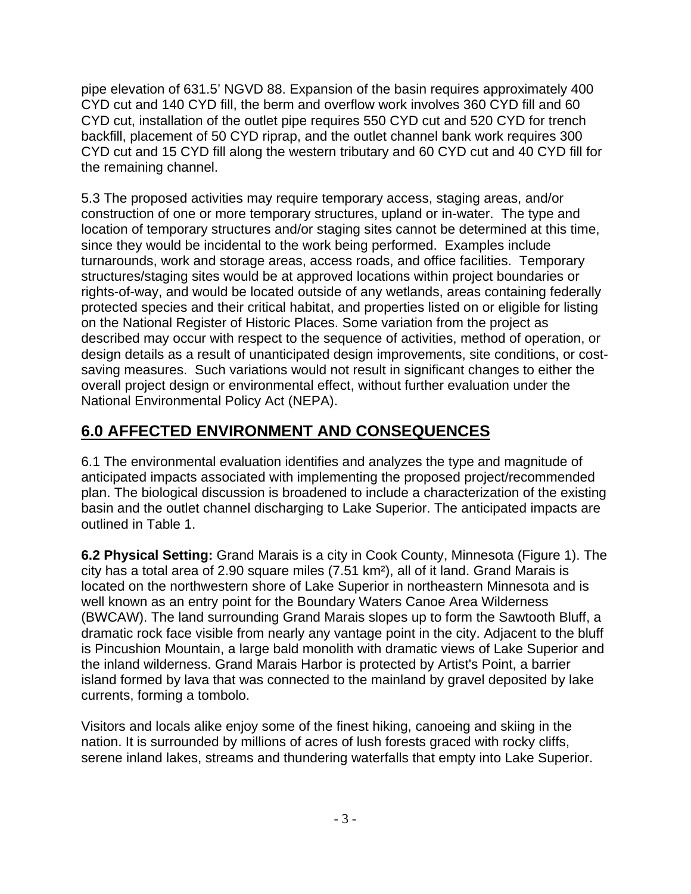pipe elevation of 631.5' NGVD 88. Expansion of the basin requires approximately 400 CYD cut and 140 CYD fill, the berm and overflow work involves 360 CYD fill and 60 CYD cut, installation of the outlet pipe requires 550 CYD cut and 520 CYD for trench backfill, placement of 50 CYD riprap, and the outlet channel bank work requires 300 CYD cut and 15 CYD fill along the western tributary and 60 CYD cut and 40 CYD fill for the remaining channel.

5.3 The proposed activities may require temporary access, staging areas, and/or construction of one or more temporary structures, upland or in-water. The type and location of temporary structures and/or staging sites cannot be determined at this time, since they would be incidental to the work being performed. Examples include turnarounds, work and storage areas, access roads, and office facilities. Temporary structures/staging sites would be at approved locations within project boundaries or rights-of-way, and would be located outside of any wetlands, areas containing federally protected species and their critical habitat, and properties listed on or eligible for listing on the National Register of Historic Places. Some variation from the project as described may occur with respect to the sequence of activities, method of operation, or design details as a result of unanticipated design improvements, site conditions, or costsaving measures. Such variations would not result in significant changes to either the overall project design or environmental effect, without further evaluation under the National Environmental Policy Act (NEPA).

# **6.0 AFFECTED ENVIRONMENT AND CONSEQUENCES**

6.1 The environmental evaluation identifies and analyzes the type and magnitude of anticipated impacts associated with implementing the proposed project/recommended plan. The biological discussion is broadened to include a characterization of the existing basin and the outlet channel discharging to Lake Superior. The anticipated impacts are outlined in Table 1.

**6.2 Physical Setting:** Grand Marais is a city in Cook County, Minnesota (Figure 1). The city has a total area of 2.90 square miles (7.51 km²), all of it land. Grand Marais is located on the northwestern shore of Lake Superior in northeastern Minnesota and is well known as an entry point for the Boundary Waters Canoe Area Wilderness (BWCAW). The land surrounding Grand Marais slopes up to form the Sawtooth Bluff, a dramatic rock face visible from nearly any vantage point in the city. Adjacent to the bluff is Pincushion Mountain, a large bald monolith with dramatic views of Lake Superior and the inland wilderness. Grand Marais Harbor is protected by Artist's Point, a barrier island formed by lava that was connected to the mainland by gravel deposited by lake currents, forming a tombolo.

Visitors and locals alike enjoy some of the finest hiking, canoeing and skiing in the nation. It is surrounded by millions of acres of lush forests graced with rocky cliffs, serene inland lakes, streams and thundering waterfalls that empty into Lake Superior.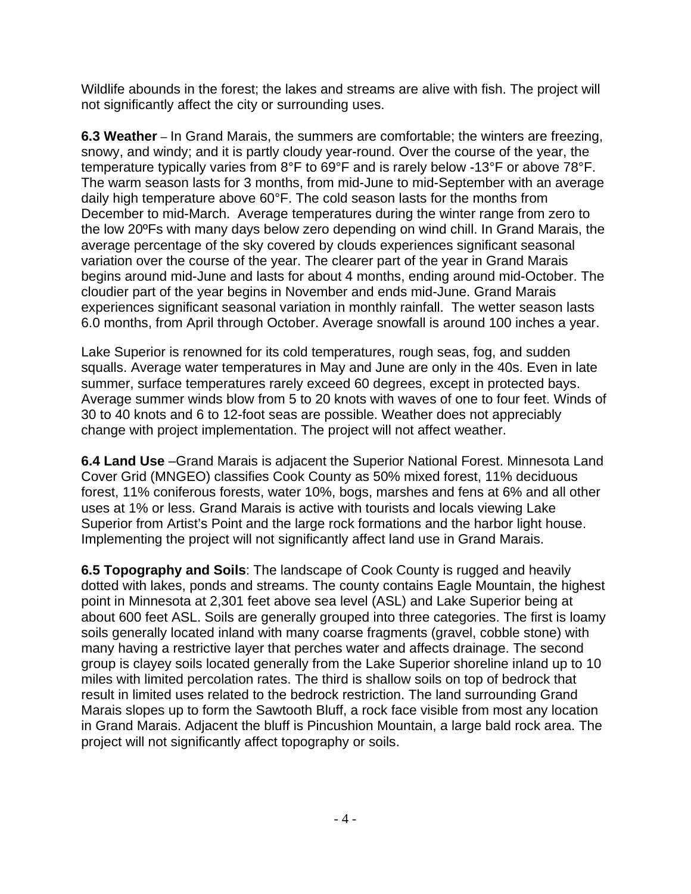Wildlife abounds in the forest; the lakes and streams are alive with fish. The project will not significantly affect the city or surrounding uses.

**6.3 Weather** – In Grand Marais, the summers are comfortable; the winters are freezing, snowy, and windy; and it is partly cloudy year-round. Over the course of the year, the temperature typically varies from 8°F to 69°F and is rarely below -13°F or above 78°F. The warm season lasts for 3 months, from mid-June to mid-September with an average daily high temperature above 60°F. The cold season lasts for the months from December to mid-March. Average temperatures during the winter range from zero to the low 20ºFs with many days below zero depending on wind chill. In Grand Marais, the average percentage of the sky covered by clouds experiences significant seasonal variation over the course of the year. The clearer part of the year in Grand Marais begins around mid-June and lasts for about 4 months, ending around mid-October. The cloudier part of the year begins in November and ends mid-June. Grand Marais experiences significant seasonal variation in monthly rainfall. The wetter season lasts 6.0 months, from April through October. Average snowfall is around 100 inches a year.

Lake Superior is renowned for its cold temperatures, rough seas, fog, and sudden squalls. Average water temperatures in May and June are only in the 40s. Even in late summer, surface temperatures rarely exceed 60 degrees, except in protected bays. Average summer winds blow from 5 to 20 knots with waves of one to four feet. Winds of 30 to 40 knots and 6 to 12-foot seas are possible. Weather does not appreciably change with project implementation. The project will not affect weather.

**6.4 Land Use** –Grand Marais is adjacent the Superior National Forest. Minnesota Land Cover Grid (MNGEO) classifies Cook County as 50% mixed forest, 11% deciduous forest, 11% coniferous forests, water 10%, bogs, marshes and fens at 6% and all other uses at 1% or less. Grand Marais is active with tourists and locals viewing Lake Superior from Artist's Point and the large rock formations and the harbor light house. Implementing the project will not significantly affect land use in Grand Marais.

**6.5 Topography and Soils**: The landscape of Cook County is rugged and heavily dotted with lakes, ponds and streams. The county contains Eagle Mountain, the highest point in Minnesota at 2,301 feet above sea level (ASL) and Lake Superior being at about 600 feet ASL. Soils are generally grouped into three categories. The first is loamy soils generally located inland with many coarse fragments (gravel, cobble stone) with many having a restrictive layer that perches water and affects drainage. The second group is clayey soils located generally from the Lake Superior shoreline inland up to 10 miles with limited percolation rates. The third is shallow soils on top of bedrock that result in limited uses related to the bedrock restriction. The land surrounding Grand Marais slopes up to form the Sawtooth Bluff, a rock face visible from most any location in Grand Marais. Adjacent the bluff is Pincushion Mountain, a large bald rock area. The project will not significantly affect topography or soils.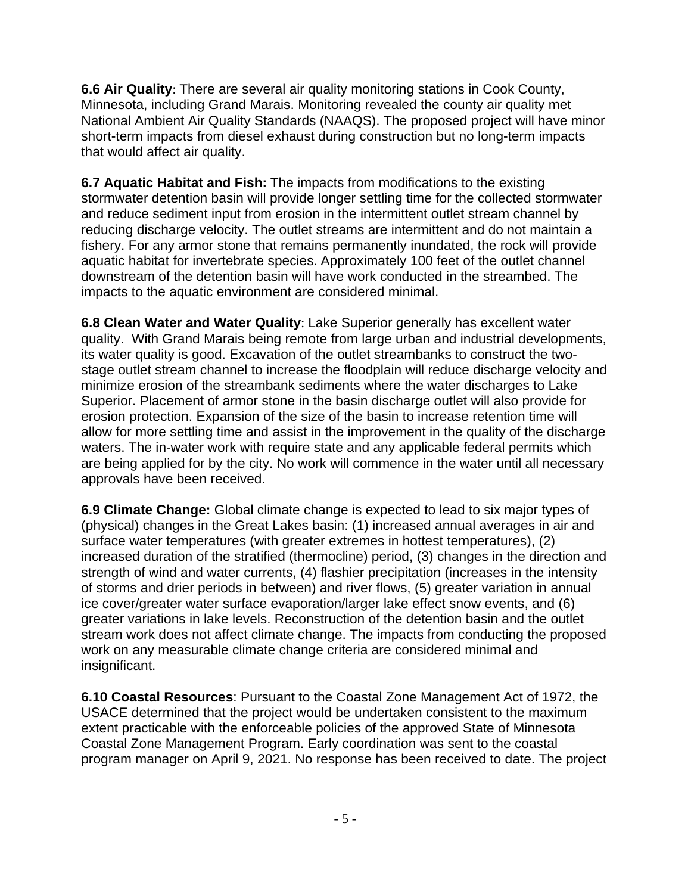**6.6 Air Quality**: There are several air quality monitoring stations in Cook County, Minnesota, including Grand Marais. Monitoring revealed the county air quality met National Ambient Air Quality Standards (NAAQS). The proposed project will have minor short-term impacts from diesel exhaust during construction but no long-term impacts that would affect air quality.

**6.7 Aquatic Habitat and Fish:** The impacts from modifications to the existing stormwater detention basin will provide longer settling time for the collected stormwater and reduce sediment input from erosion in the intermittent outlet stream channel by reducing discharge velocity. The outlet streams are intermittent and do not maintain a fishery. For any armor stone that remains permanently inundated, the rock will provide aquatic habitat for invertebrate species. Approximately 100 feet of the outlet channel downstream of the detention basin will have work conducted in the streambed. The impacts to the aquatic environment are considered minimal.

**6.8 Clean Water and Water Quality**: Lake Superior generally has excellent water quality. With Grand Marais being remote from large urban and industrial developments, its water quality is good. Excavation of the outlet streambanks to construct the twostage outlet stream channel to increase the floodplain will reduce discharge velocity and minimize erosion of the streambank sediments where the water discharges to Lake Superior. Placement of armor stone in the basin discharge outlet will also provide for erosion protection. Expansion of the size of the basin to increase retention time will allow for more settling time and assist in the improvement in the quality of the discharge waters. The in-water work with require state and any applicable federal permits which are being applied for by the city. No work will commence in the water until all necessary approvals have been received.

**6.9 Climate Change:** Global climate change is expected to lead to six major types of (physical) changes in the Great Lakes basin: (1) increased annual averages in air and surface water temperatures (with greater extremes in hottest temperatures), (2) increased duration of the stratified (thermocline) period, (3) changes in the direction and strength of wind and water currents, (4) flashier precipitation (increases in the intensity of storms and drier periods in between) and river flows, (5) greater variation in annual ice cover/greater water surface evaporation/larger lake effect snow events, and (6) greater variations in lake levels. Reconstruction of the detention basin and the outlet stream work does not affect climate change. The impacts from conducting the proposed work on any measurable climate change criteria are considered minimal and insignificant.

**6.10 Coastal Resources**: Pursuant to the Coastal Zone Management Act of 1972, the USACE determined that the project would be undertaken consistent to the maximum extent practicable with the enforceable policies of the approved State of Minnesota Coastal Zone Management Program. Early coordination was sent to the coastal program manager on April 9, 2021. No response has been received to date. The project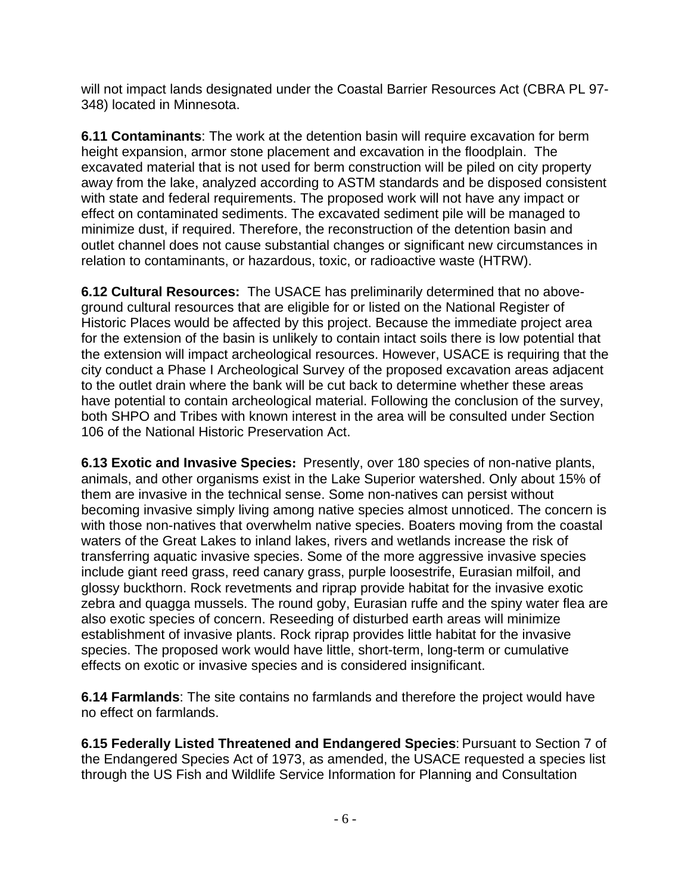will not impact lands designated under the Coastal Barrier Resources Act (CBRA PL 97- 348) located in Minnesota.

**6.11 Contaminants**: The work at the detention basin will require excavation for berm height expansion, armor stone placement and excavation in the floodplain. The excavated material that is not used for berm construction will be piled on city property away from the lake, analyzed according to ASTM standards and be disposed consistent with state and federal requirements. The proposed work will not have any impact or effect on contaminated sediments. The excavated sediment pile will be managed to minimize dust, if required. Therefore, the reconstruction of the detention basin and outlet channel does not cause substantial changes or significant new circumstances in relation to contaminants, or hazardous, toxic, or radioactive waste (HTRW).

**6.12 Cultural Resources:** The USACE has preliminarily determined that no aboveground cultural resources that are eligible for or listed on the National Register of Historic Places would be affected by this project. Because the immediate project area for the extension of the basin is unlikely to contain intact soils there is low potential that the extension will impact archeological resources. However, USACE is requiring that the city conduct a Phase I Archeological Survey of the proposed excavation areas adjacent to the outlet drain where the bank will be cut back to determine whether these areas have potential to contain archeological material. Following the conclusion of the survey, both SHPO and Tribes with known interest in the area will be consulted under Section 106 of the National Historic Preservation Act.

**6.13 Exotic and Invasive Species:** Presently, over 180 species of non-native plants, animals, and other organisms exist in the Lake Superior watershed. Only about 15% of them are invasive in the technical sense. Some non-natives can persist without becoming invasive simply living among native species almost unnoticed. The concern is with those non-natives that overwhelm native species. Boaters moving from the coastal waters of the Great Lakes to inland lakes, rivers and wetlands increase the risk of transferring aquatic invasive species. Some of the more aggressive invasive species include giant reed grass, reed canary grass, purple loosestrife, Eurasian milfoil, and glossy buckthorn. Rock revetments and riprap provide habitat for the invasive exotic zebra and quagga mussels. The round goby, Eurasian ruffe and the spiny water flea are also exotic species of concern. Reseeding of disturbed earth areas will minimize establishment of invasive plants. Rock riprap provides little habitat for the invasive species. The proposed work would have little, short-term, long-term or cumulative effects on exotic or invasive species and is considered insignificant.

**6.14 Farmlands**: The site contains no farmlands and therefore the project would have no effect on farmlands.

**6.15 Federally Listed Threatened and Endangered Species**: Pursuant to Section 7 of the Endangered Species Act of 1973, as amended, the USACE requested a species list through the US Fish and Wildlife Service Information for Planning and Consultation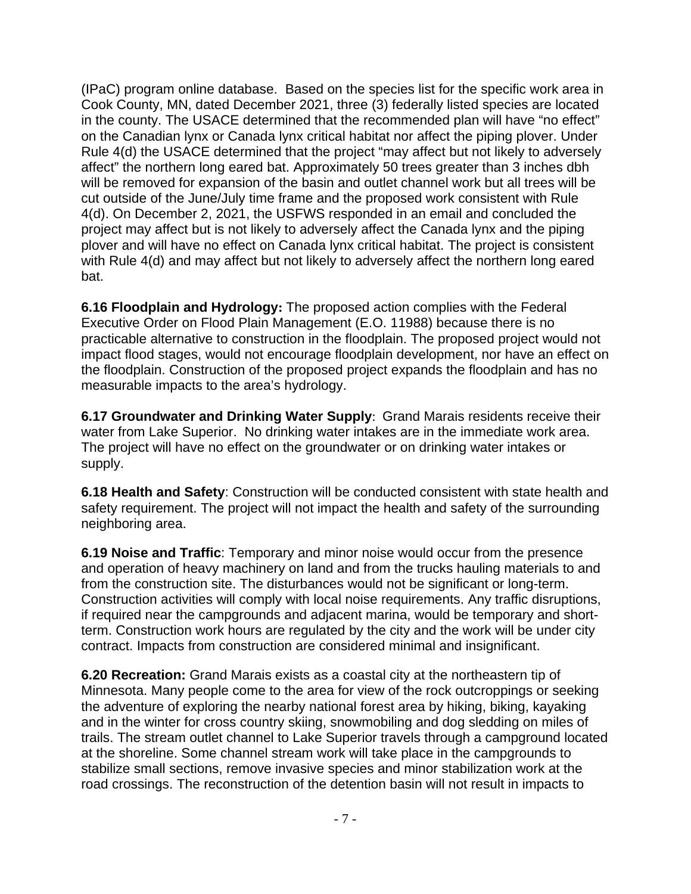(IPaC) program online database. Based on the species list for the specific work area in Cook County, MN, dated December 2021, three (3) federally listed species are located in the county. The USACE determined that the recommended plan will have "no effect" on the Canadian lynx or Canada lynx critical habitat nor affect the piping plover. Under Rule 4(d) the USACE determined that the project "may affect but not likely to adversely affect" the northern long eared bat. Approximately 50 trees greater than 3 inches dbh will be removed for expansion of the basin and outlet channel work but all trees will be cut outside of the June/July time frame and the proposed work consistent with Rule 4(d). On December 2, 2021, the USFWS responded in an email and concluded the project may affect but is not likely to adversely affect the Canada lynx and the piping plover and will have no effect on Canada lynx critical habitat. The project is consistent with Rule 4(d) and may affect but not likely to adversely affect the northern long eared bat.

**6.16 Floodplain and Hydrology:** The proposed action complies with the Federal Executive Order on Flood Plain Management (E.O. 11988) because there is no practicable alternative to construction in the floodplain. The proposed project would not impact flood stages, would not encourage floodplain development, nor have an effect on the floodplain. Construction of the proposed project expands the floodplain and has no measurable impacts to the area's hydrology.

**6.17 Groundwater and Drinking Water Supply**: Grand Marais residents receive their water from Lake Superior. No drinking water intakes are in the immediate work area. The project will have no effect on the groundwater or on drinking water intakes or supply.

**6.18 Health and Safety**: Construction will be conducted consistent with state health and safety requirement. The project will not impact the health and safety of the surrounding neighboring area.

**6.19 Noise and Traffic**: Temporary and minor noise would occur from the presence and operation of heavy machinery on land and from the trucks hauling materials to and from the construction site. The disturbances would not be significant or long-term. Construction activities will comply with local noise requirements. Any traffic disruptions, if required near the campgrounds and adjacent marina, would be temporary and shortterm. Construction work hours are regulated by the city and the work will be under city contract. Impacts from construction are considered minimal and insignificant.

**6.20 Recreation:** Grand Marais exists as a coastal city at the northeastern tip of Minnesota. Many people come to the area for view of the rock outcroppings or seeking the adventure of exploring the nearby national forest area by hiking, biking, kayaking and in the winter for cross country skiing, snowmobiling and dog sledding on miles of trails. The stream outlet channel to Lake Superior travels through a campground located at the shoreline. Some channel stream work will take place in the campgrounds to stabilize small sections, remove invasive species and minor stabilization work at the road crossings. The reconstruction of the detention basin will not result in impacts to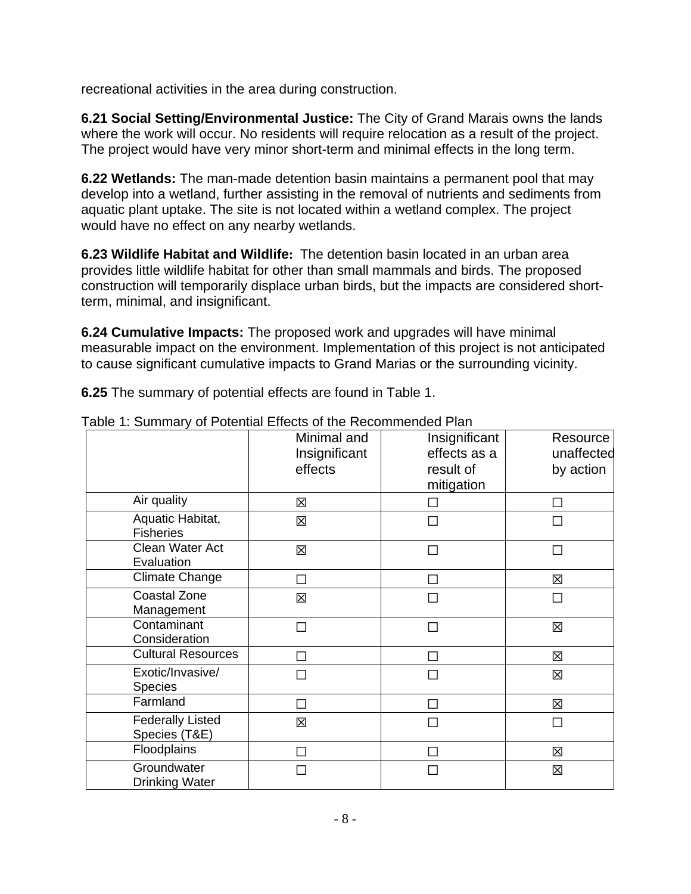recreational activities in the area during construction.

**6.21 Social Setting/Environmental Justice:** The City of Grand Marais owns the lands where the work will occur. No residents will require relocation as a result of the project. The project would have very minor short-term and minimal effects in the long term.

**6.22 Wetlands:** The man-made detention basin maintains a permanent pool that may develop into a wetland, further assisting in the removal of nutrients and sediments from aquatic plant uptake. The site is not located within a wetland complex. The project would have no effect on any nearby wetlands.

 **6.23 Wildlife Habitat and Wildlife:** The detention basin located in an urban area provides little wildlife habitat for other than small mammals and birds. The proposed construction will temporarily displace urban birds, but the impacts are considered shortterm, minimal, and insignificant.

**6.24 Cumulative Impacts:** The proposed work and upgrades will have minimal measurable impact on the environment. Implementation of this project is not anticipated to cause significant cumulative impacts to Grand Marias or the surrounding vicinity.

**6.25** The summary of potential effects are found in Table 1.

| <b>able 1. Odifficially of Following Encelo of the Recommended Fight</b> | Minimal and<br>Insignificant<br>effects | Insignificant<br>effects as a<br>result of<br>mitigation | Resource<br>unaffected<br>by action |
|--------------------------------------------------------------------------|-----------------------------------------|----------------------------------------------------------|-------------------------------------|
| Air quality                                                              | X                                       | П                                                        | П                                   |
| Aquatic Habitat,<br><b>Fisheries</b>                                     | 冈                                       |                                                          |                                     |
| Clean Water Act<br>Evaluation                                            | 図                                       |                                                          | П                                   |
| <b>Climate Change</b>                                                    |                                         |                                                          | 区                                   |
| <b>Coastal Zone</b><br>Management                                        | 区                                       | П                                                        | П                                   |
| Contaminant<br>Consideration                                             | П                                       | П                                                        | 区                                   |
| <b>Cultural Resources</b>                                                | $\Box$                                  |                                                          | 区                                   |
| Exotic/Invasive/<br><b>Species</b>                                       | ⊓                                       | П                                                        | 区                                   |
| Farmland                                                                 | ┐                                       |                                                          | 区                                   |
| <b>Federally Listed</b><br>Species (T&E)                                 | 区                                       | П                                                        | $\Box$                              |
| Floodplains                                                              | П                                       |                                                          | 図                                   |
| Groundwater<br><b>Drinking Water</b>                                     | $\mathcal{L}_{\mathcal{A}}$             |                                                          | 区                                   |

Table 1: Summary of Potential Effects of the Recommended Plan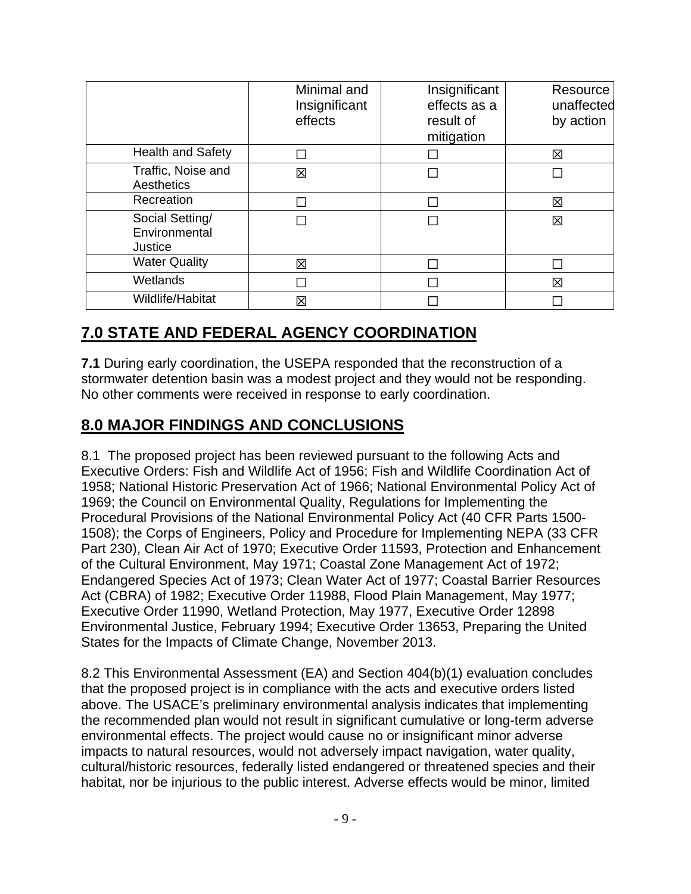|                                             | Minimal and<br>Insignificant<br>effects | Insignificant<br>effects as a<br>result of<br>mitigation | Resource<br>unaffected<br>by action |
|---------------------------------------------|-----------------------------------------|----------------------------------------------------------|-------------------------------------|
| <b>Health and Safety</b>                    |                                         |                                                          | 冈                                   |
| Traffic, Noise and<br>Aesthetics            | 区                                       |                                                          |                                     |
| Recreation                                  |                                         |                                                          | 図                                   |
| Social Setting/<br>Environmental<br>Justice |                                         |                                                          | 区                                   |
| <b>Water Quality</b>                        | 区                                       |                                                          |                                     |
| Wetlands                                    |                                         |                                                          | 区                                   |
| Wildlife/Habitat                            | 区                                       |                                                          |                                     |

### **7.0 STATE AND FEDERAL AGENCY COORDINATION**

**7.1** During early coordination, the USEPA responded that the reconstruction of a stormwater detention basin was a modest project and they would not be responding. No other comments were received in response to early coordination.

### **8.0 MAJOR FINDINGS AND CONCLUSIONS**

8.1 The proposed project has been reviewed pursuant to the following Acts and Executive Orders: Fish and Wildlife Act of 1956; Fish and Wildlife Coordination Act of 1958; National Historic Preservation Act of 1966; National Environmental Policy Act of 1969; the Council on Environmental Quality, Regulations for Implementing the Procedural Provisions of the National Environmental Policy Act (40 CFR Parts 1500- 1508); the Corps of Engineers, Policy and Procedure for Implementing NEPA (33 CFR Part 230), Clean Air Act of 1970; Executive Order 11593, Protection and Enhancement of the Cultural Environment, May 1971; Coastal Zone Management Act of 1972; Endangered Species Act of 1973; Clean Water Act of 1977; Coastal Barrier Resources Act (CBRA) of 1982; Executive Order 11988, Flood Plain Management, May 1977; Executive Order 11990, Wetland Protection, May 1977, Executive Order 12898 Environmental Justice, February 1994; Executive Order 13653, Preparing the United States for the Impacts of Climate Change, November 2013.

8.2 This Environmental Assessment (EA) and Section 404(b)(1) evaluation concludes that the proposed project is in compliance with the acts and executive orders listed above. The USACE's preliminary environmental analysis indicates that implementing the recommended plan would not result in significant cumulative or long-term adverse environmental effects. The project would cause no or insignificant minor adverse impacts to natural resources, would not adversely impact navigation, water quality, cultural/historic resources, federally listed endangered or threatened species and their habitat, nor be injurious to the public interest. Adverse effects would be minor, limited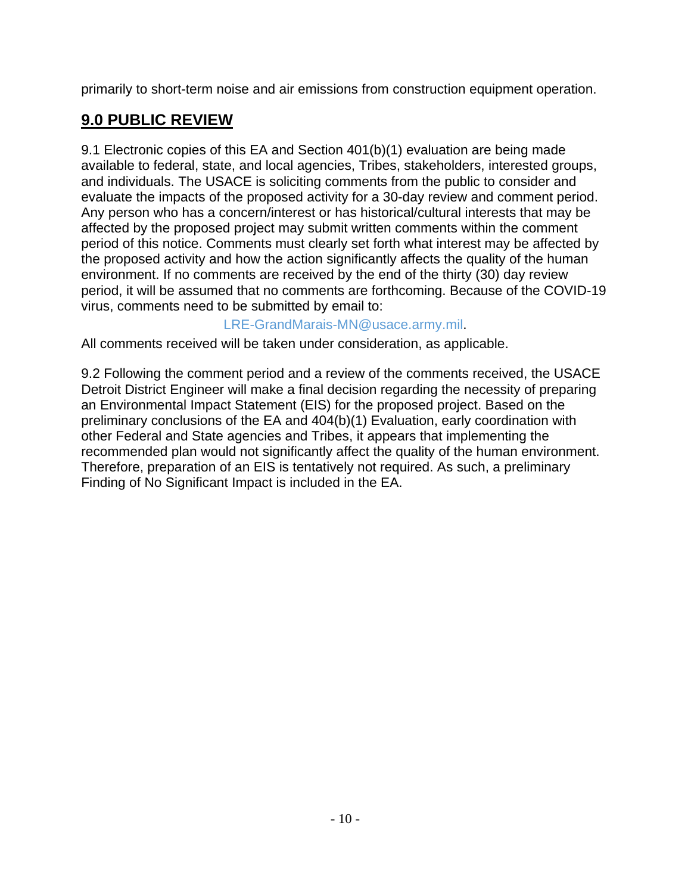primarily to short-term noise and air emissions from construction equipment operation.

# **9.0 PUBLIC REVIEW**

9.1 Electronic copies of this EA and Section 401(b)(1) evaluation are being made available to federal, state, and local agencies, Tribes, stakeholders, interested groups, and individuals. The USACE is soliciting comments from the public to consider and evaluate the impacts of the proposed activity for a 30-day review and comment period. Any person who has a concern/interest or has historical/cultural interests that may be affected by the proposed project may submit written comments within the comment period of this notice. Comments must clearly set forth what interest may be affected by the proposed activity and how the action significantly affects the quality of the human environment. If no comments are received by the end of the thirty (30) day review period, it will be assumed that no comments are forthcoming. Because of the COVID-19 virus, comments need to be submitted by email to:

### [LRE-GrandMarais-MN@usace.army.mil](mailto:LRE-GrandMarais-MN@usace.army.mil).

All comments received will be taken under consideration, as applicable.

9.2 Following the comment period and a review of the comments received, the USACE Detroit District Engineer will make a final decision regarding the necessity of preparing an Environmental Impact Statement (EIS) for the proposed project. Based on the preliminary conclusions of the EA and 404(b)(1) Evaluation, early coordination with other Federal and State agencies and Tribes, it appears that implementing the recommended plan would not significantly affect the quality of the human environment. Therefore, preparation of an EIS is tentatively not required. As such, a preliminary Finding of No Significant Impact is included in the EA.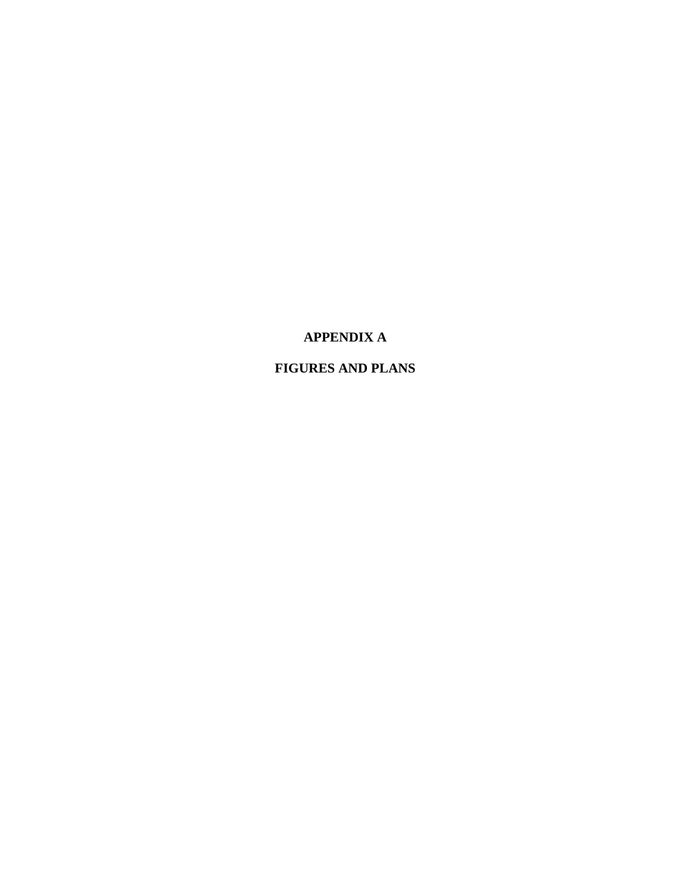### **APPENDIX A**

### **FIGURES AND PLANS**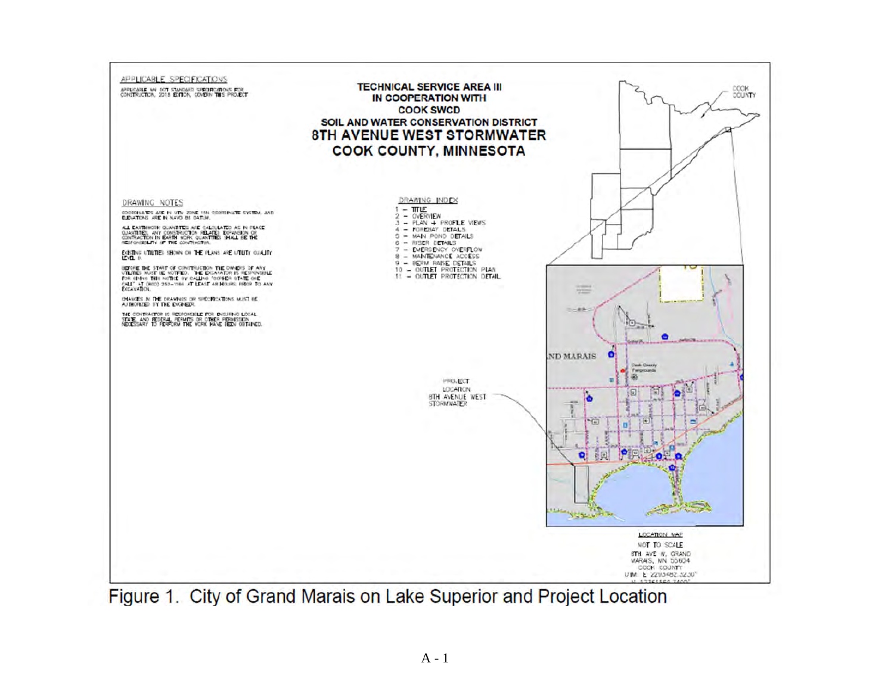

Figure 1. City of Grand Marais on Lake Superior and Project Location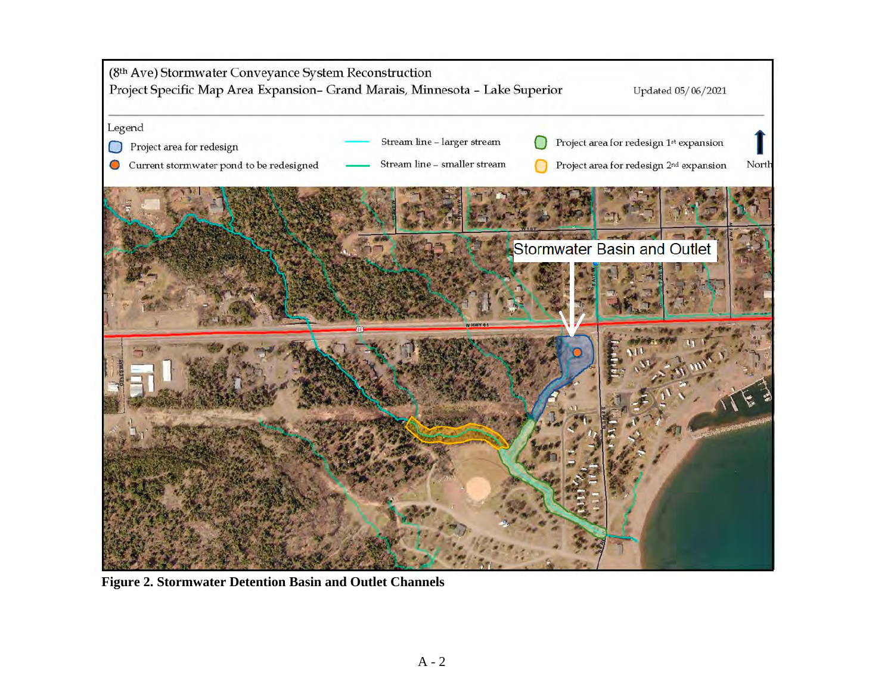

 **Figure 2. Stormwater Detention Basin and Outlet Channels**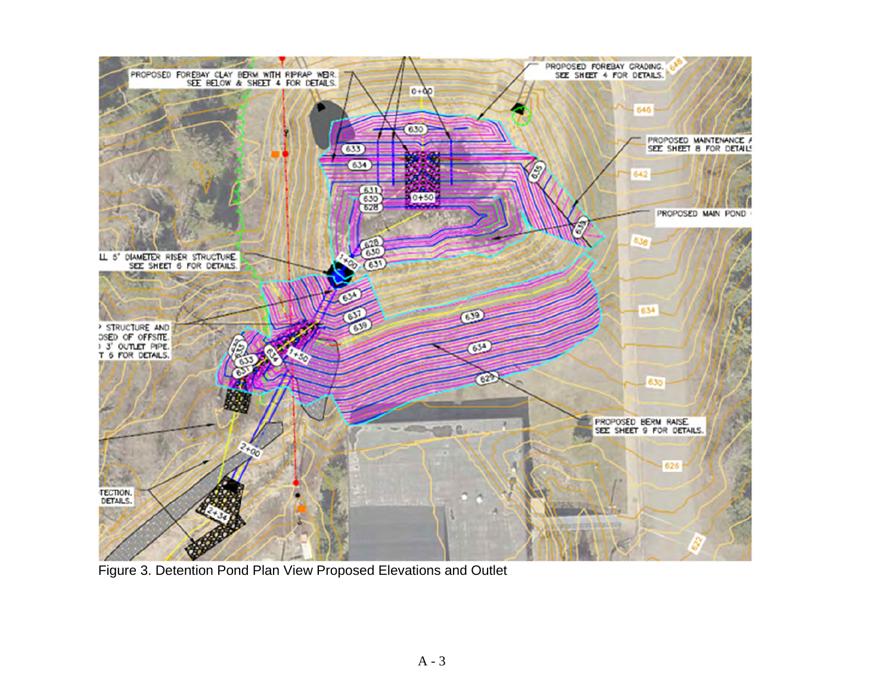

Figure 3. Detention Pond Plan View Proposed Elevations and Outlet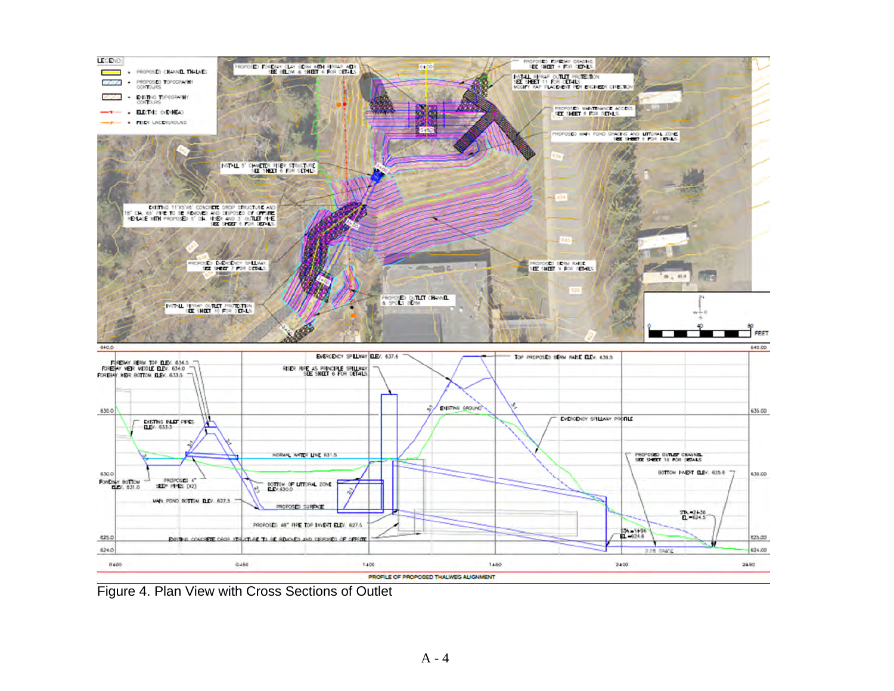

Figure 4. Plan View with Cross Sections of Outlet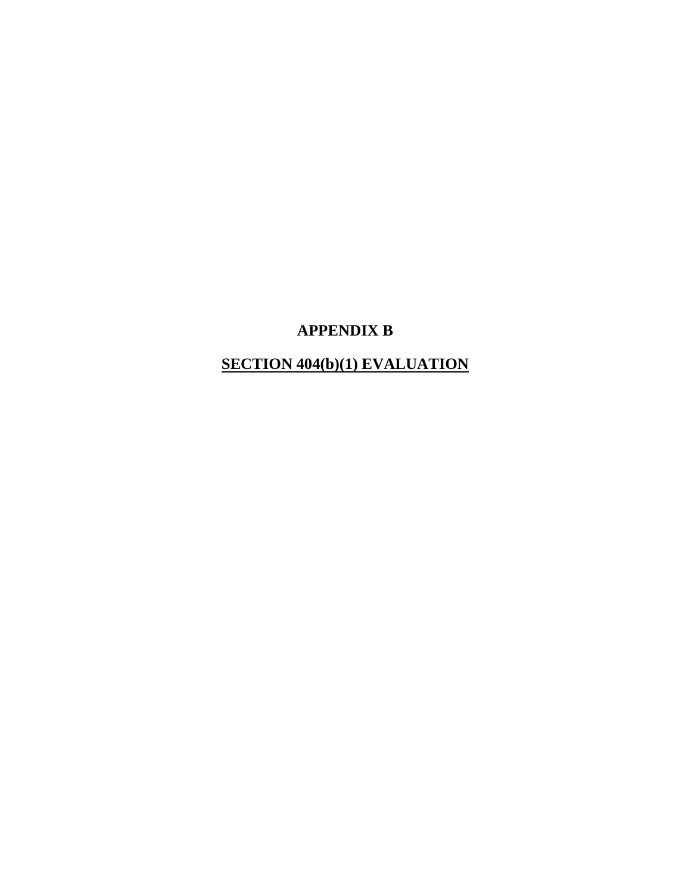## **APPENDIX B**

# **SECTION 404(b)(1) EVALUATION**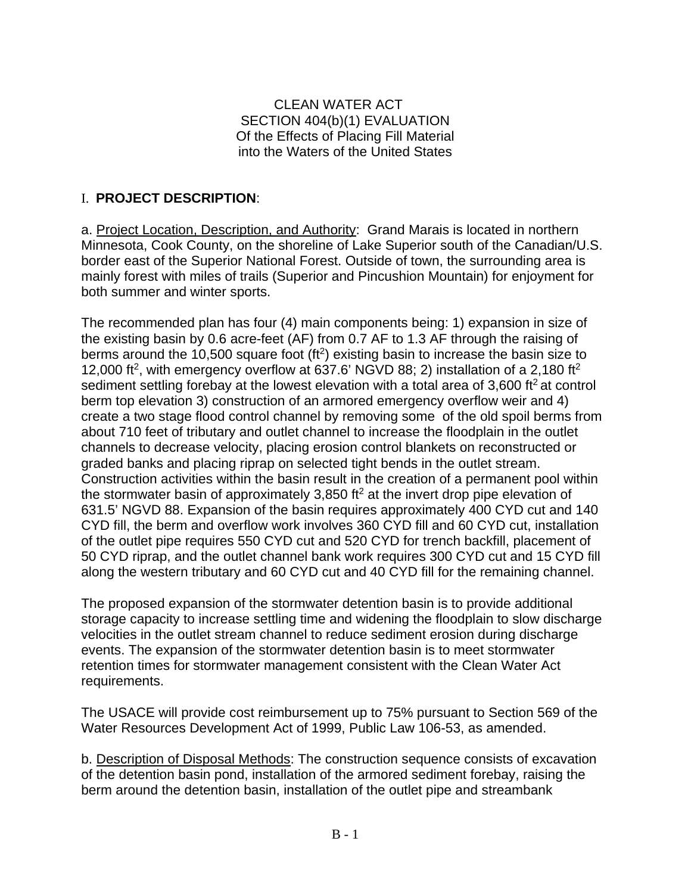#### CLEAN WATER ACT SECTION 404(b)(1) EVALUATION Of the Effects of Placing Fill Material into the Waters of the United States

### I. **PROJECT DESCRIPTION**:

a. Project Location, Description, and Authority: Grand Marais is located in northern Minnesota, Cook County, on the shoreline of Lake Superior south of the Canadian/U.S. border east of the Superior National Forest. Outside of town, the surrounding area is mainly forest with miles of trails (Superior and Pincushion Mountain) for enjoyment for both summer and winter sports.

The recommended plan has four (4) main components being: 1) expansion in size of the existing basin by 0.6 acre-feet (AF) from 0.7 AF to 1.3 AF through the raising of berms around the 10,500 square foot  $(f<sup>2</sup>)$  existing basin to increase the basin size to 12,000 ft<sup>2</sup>, with emergency overflow at 637.6' NGVD 88; 2) installation of a 2,180 ft<sup>2</sup> sediment settling forebay at the lowest elevation with a total area of  $3,600$  ft<sup>2</sup> at control berm top elevation 3) construction of an armored emergency overflow weir and 4) create a two stage flood control channel by removing some of the old spoil berms from about 710 feet of tributary and outlet channel to increase the floodplain in the outlet channels to decrease velocity, placing erosion control blankets on reconstructed or graded banks and placing riprap on selected tight bends in the outlet stream. Construction activities within the basin result in the creation of a permanent pool within the stormwater basin of approximately 3,850 ft<sup>2</sup> at the invert drop pipe elevation of 631.5' NGVD 88. Expansion of the basin requires approximately 400 CYD cut and 140 CYD fill, the berm and overflow work involves 360 CYD fill and 60 CYD cut, installation of the outlet pipe requires 550 CYD cut and 520 CYD for trench backfill, placement of 50 CYD riprap, and the outlet channel bank work requires 300 CYD cut and 15 CYD fill along the western tributary and 60 CYD cut and 40 CYD fill for the remaining channel.

The proposed expansion of the stormwater detention basin is to provide additional storage capacity to increase settling time and widening the floodplain to slow discharge velocities in the outlet stream channel to reduce sediment erosion during discharge events. The expansion of the stormwater detention basin is to meet stormwater retention times for stormwater management consistent with the Clean Water Act requirements.

The USACE will provide cost reimbursement up to 75% pursuant to Section 569 of the Water Resources Development Act of 1999, Public Law 106-53, as amended.

b. Description of Disposal Methods: The construction sequence consists of excavation of the detention basin pond, installation of the armored sediment forebay, raising the berm around the detention basin, installation of the outlet pipe and streambank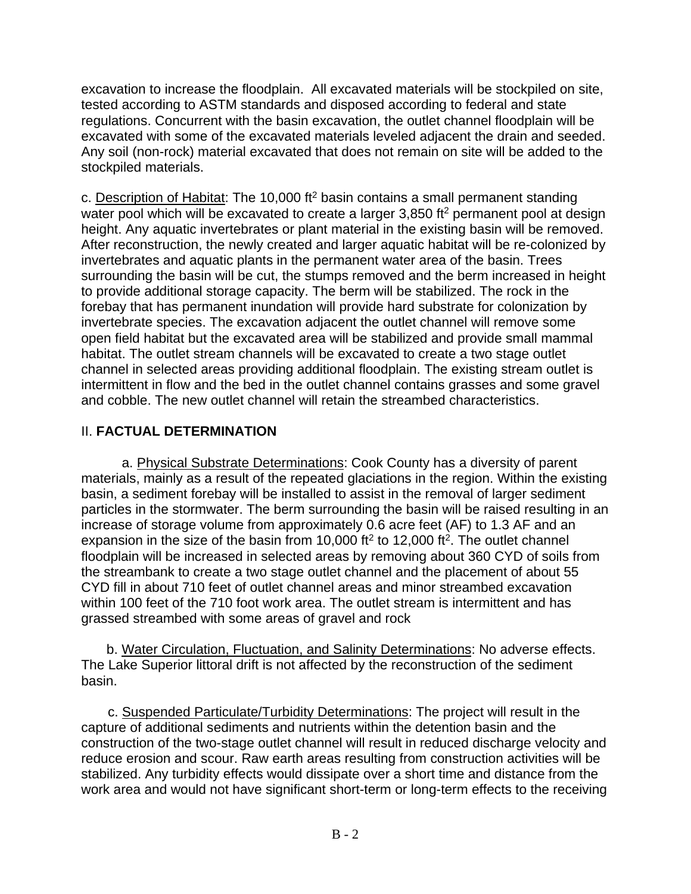excavation to increase the floodplain. All excavated materials will be stockpiled on site, tested according to ASTM standards and disposed according to federal and state regulations. Concurrent with the basin excavation, the outlet channel floodplain will be excavated with some of the excavated materials leveled adjacent the drain and seeded. Any soil (non-rock) material excavated that does not remain on site will be added to the stockpiled materials.

c. Description of Habitat: The 10,000 ft<sup>2</sup> basin contains a small permanent standing water pool which will be excavated to create a larger 3,850 ft<sup>2</sup> permanent pool at design height. Any aquatic invertebrates or plant material in the existing basin will be removed. After reconstruction, the newly created and larger aquatic habitat will be re-colonized by invertebrates and aquatic plants in the permanent water area of the basin. Trees surrounding the basin will be cut, the stumps removed and the berm increased in height to provide additional storage capacity. The berm will be stabilized. The rock in the forebay that has permanent inundation will provide hard substrate for colonization by invertebrate species. The excavation adjacent the outlet channel will remove some open field habitat but the excavated area will be stabilized and provide small mammal habitat. The outlet stream channels will be excavated to create a two stage outlet channel in selected areas providing additional floodplain. The existing stream outlet is intermittent in flow and the bed in the outlet channel contains grasses and some gravel and cobble. The new outlet channel will retain the streambed characteristics.

### II. **FACTUAL DETERMINATION**

a. Physical Substrate Determinations: Cook County has a diversity of parent materials, mainly as a result of the repeated glaciations in the region. Within the existing basin, a sediment forebay will be installed to assist in the removal of larger sediment particles in the stormwater. The berm surrounding the basin will be raised resulting in an increase of storage volume from approximately 0.6 acre feet (AF) to 1.3 AF and an expansion in the size of the basin from 10,000 ft<sup>2</sup> to 12,000 ft<sup>2</sup>. The outlet channel floodplain will be increased in selected areas by removing about 360 CYD of soils from the streambank to create a two stage outlet channel and the placement of about 55 CYD fill in about 710 feet of outlet channel areas and minor streambed excavation within 100 feet of the 710 foot work area. The outlet stream is intermittent and has grassed streambed with some areas of gravel and rock

b. Water Circulation, Fluctuation, and Salinity Determinations: No adverse effects. The Lake Superior littoral drift is not affected by the reconstruction of the sediment basin.

 c. Suspended Particulate/Turbidity Determinations: The project will result in the capture of additional sediments and nutrients within the detention basin and the construction of the two-stage outlet channel will result in reduced discharge velocity and reduce erosion and scour. Raw earth areas resulting from construction activities will be stabilized. Any turbidity effects would dissipate over a short time and distance from the work area and would not have significant short-term or long-term effects to the receiving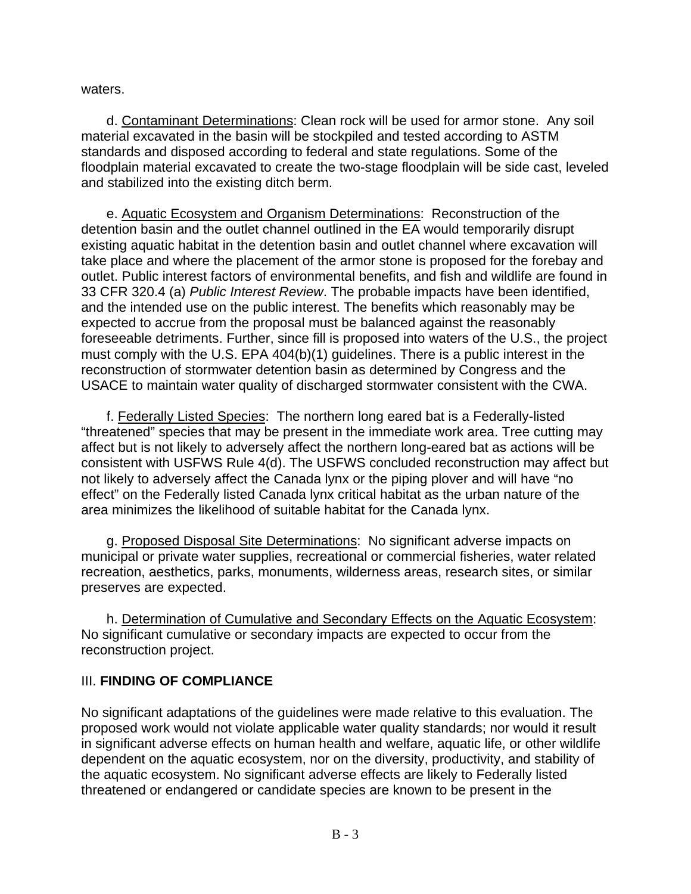waters.

d. Contaminant Determinations: Clean rock will be used for armor stone. Any soil material excavated in the basin will be stockpiled and tested according to ASTM standards and disposed according to federal and state regulations. Some of the floodplain material excavated to create the two-stage floodplain will be side cast, leveled and stabilized into the existing ditch berm.

e. Aquatic Ecosystem and Organism Determinations: Reconstruction of the detention basin and the outlet channel outlined in the EA would temporarily disrupt existing aquatic habitat in the detention basin and outlet channel where excavation will take place and where the placement of the armor stone is proposed for the forebay and outlet. Public interest factors of environmental benefits, and fish and wildlife are found in 33 CFR 320.4 (a) *Public Interest Review*. The probable impacts have been identified, and the intended use on the public interest. The benefits which reasonably may be expected to accrue from the proposal must be balanced against the reasonably foreseeable detriments. Further, since fill is proposed into waters of the U.S., the project must comply with the U.S. EPA 404(b)(1) guidelines. There is a public interest in the reconstruction of stormwater detention basin as determined by Congress and the USACE to maintain water quality of discharged stormwater consistent with the CWA.

f. Federally Listed Species: The northern long eared bat is a Federally-listed "threatened" species that may be present in the immediate work area. Tree cutting may affect but is not likely to adversely affect the northern long-eared bat as actions will be consistent with USFWS Rule 4(d). The USFWS concluded reconstruction may affect but not likely to adversely affect the Canada lynx or the piping plover and will have "no effect" on the Federally listed Canada lynx critical habitat as the urban nature of the area minimizes the likelihood of suitable habitat for the Canada lynx.

g. Proposed Disposal Site Determinations: No significant adverse impacts on municipal or private water supplies, recreational or commercial fisheries, water related recreation, aesthetics, parks, monuments, wilderness areas, research sites, or similar preserves are expected.

h. Determination of Cumulative and Secondary Effects on the Aquatic Ecosystem: No significant cumulative or secondary impacts are expected to occur from the reconstruction project.

#### III. **FINDING OF COMPLIANCE**

No significant adaptations of the guidelines were made relative to this evaluation. The proposed work would not violate applicable water quality standards; nor would it result in significant adverse effects on human health and welfare, aquatic life, or other wildlife dependent on the aquatic ecosystem, nor on the diversity, productivity, and stability of the aquatic ecosystem. No significant adverse effects are likely to Federally listed threatened or endangered or candidate species are known to be present in the